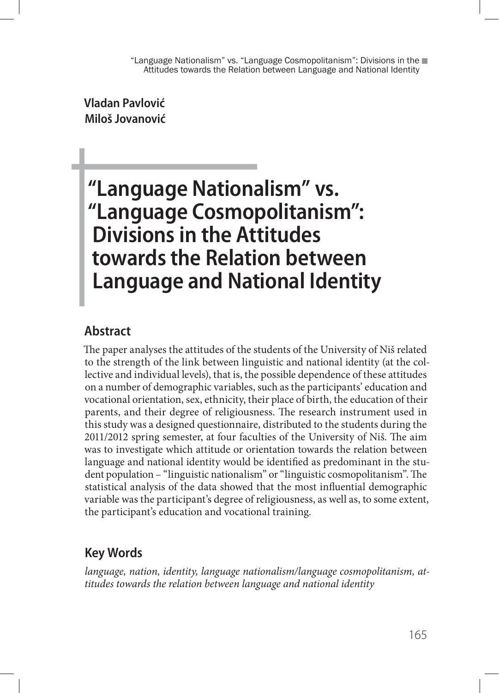**Vladan Pavlović Miloš Jovanović**

# **"Language Nationalism" vs. "Language Cosmopolitanism": Divisions in the Attitudes towards the Relation between Language and National Identity**

#### **Abstract**

The paper analyses the attitudes of the students of the University of Niš related to the strength of the link between linguistic and national identity (at the collective and individual levels), that is, the possible dependence of these attitudes on a number of demographic variables, such as the participants' education and vocational orientation, sex, ethnicity, their place of birth, the education of their parents, and their degree of religiousness. The research instrument used in this study was a designed questionnaire, distributed to the students during the 2011/2012 spring semester, at four faculties of the University of Niš. The aim was to investigate which attitude or orientation towards the relation between language and national identity would be identified as predominant in the student population – "linguistic nationalism" or "linguistic cosmopolitanism". The statistical analysis of the data showed that the most influential demographic variable was the participant's degree of religiousness, as well as, to some extent, the participant's education and vocational training.

#### **Key Words**

*language, nation, identity, language nationalism/language cosmopolitanism, attitudes towards the relation between language and national identity*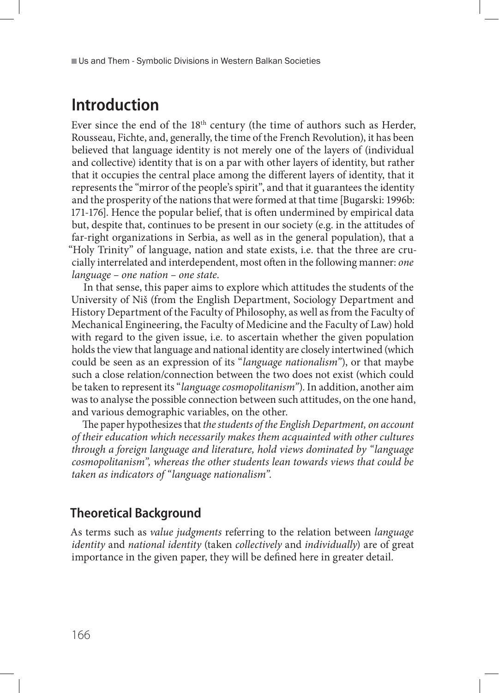## **Introduction**

Ever since the end of the 18<sup>th</sup> century (the time of authors such as Herder, Rousseau, Fichte, and, generally, the time of the French Revolution), it has been believed that language identity is not merely one of the layers of (individual and collective) identity that is on a par with other layers of identity, but rather that it occupies the central place among the different layers of identity, that it represents the "mirror of the people's spirit", and that it guarantees the identity and the prosperity of the nations that were formed at that time [Bugarski: 1996b: 171-176]. Hence the popular belief, that is often undermined by empirical data but, despite that, continues to be present in our society (e.g. in the attitudes of far-right organizations in Serbia, as well as in the general population), that a "Holy Trinity" of language, nation and state exists, i.e. that the three are crucially interrelated and interdependent, most often in the following manner: *one language – one nation – one state*.

In that sense, this paper aims to explore which attitudes the students of the University of Niš (from the English Department, Sociology Department and History Department of the Faculty of Philosophy, as well as from the Faculty of Mechanical Engineering, the Faculty of Medicine and the Faculty of Law) hold with regard to the given issue, i.e. to ascertain whether the given population holds the view that language and national identity are closely intertwined (which could be seen as an expression of its "*language nationalism"*), or that maybe such a close relation/connection between the two does not exist (which could be taken to represent its "*language cosmopolitanism"*). In addition, another aim was to analyse the possible connection between such attitudes, on the one hand, and various demographic variables, on the other.

The paper hypothesizes that *the students of the English Department, on account of their education which necessarily makes them acquainted with other cultures through a foreign language and literature, hold views dominated by "language cosmopolitanism", whereas the other students lean towards views that could be taken as indicators of "language nationalism".*

### **Theoretical Background**

As terms such as *value judgments* referring to the relation between *language identity* and *national identity* (taken *collectively* and *individually*) are of great importance in the given paper, they will be defined here in greater detail.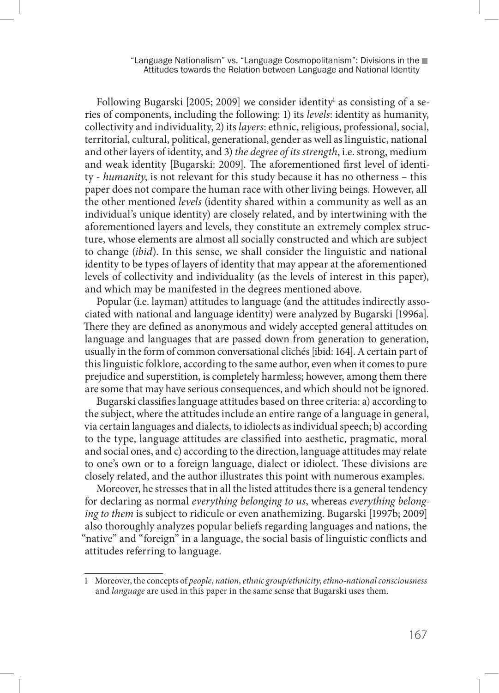Following Bugarski [2005; 2009] we consider identity<sup>1</sup> as consisting of a series of components, including the following: 1) its *levels*: identity as humanity, collectivity and individuality, 2) its *layers*: ethnic, religious, professional, social, territorial, cultural, political, generational, gender as well as linguistic, national and other layers of identity, and 3) *the degree of its strength*, i.e. strong, medium and weak identity [Bugarski: 2009]. The aforementioned first level of identity - *humanity*, is not relevant for this study because it has no otherness – this paper does not compare the human race with other living beings. However, all the other mentioned *levels* (identity shared within a community as well as an individual's unique identity) are closely related, and by intertwining with the aforementioned layers and levels, they constitute an extremely complex structure, whose elements are almost all socially constructed and which are subject to change (*ibid*). In this sense, we shall consider the linguistic and national identity to be types of layers of identity that may appear at the aforementioned levels of collectivity and individuality (as the levels of interest in this paper), and which may be manifested in the degrees mentioned above.

Popular (i.e. layman) attitudes to language (and the attitudes indirectly associated with national and language identity) were analyzed by Bugarski [1996a]. There they are defined as anonymous and widely accepted general attitudes on language and languages that are passed down from generation to generation, usually in the form of common conversational clichés [ibid: 164]. A certain part of this linguistic folklore, according to the same author, even when it comes to pure prejudice and superstition, is completely harmless; however, among them there are some that may have serious consequences, and which should not be ignored.

Bugarski classifies language attitudes based on three criteria: a) according to the subject, where the attitudes include an entire range of a language in general, via certain languages and dialects, to idiolects as individual speech; b) according to the type, language attitudes are classified into aesthetic, pragmatic, moral and social ones, and c) according to the direction, language attitudes may relate to one's own or to a foreign language, dialect or idiolect. These divisions are closely related, and the author illustrates this point with numerous examples.

Moreover, he stresses that in all the listed attitudes there is a general tendency for declaring as normal *everything belonging to us*, whereas *everything belonging to them* is subject to ridicule or even anathemizing. Bugarski [1997b; 2009] also thoroughly analyzes popular beliefs regarding languages and nations, the "native" and "foreign" in a language, the social basis of linguistic conflicts and attitudes referring to language.

<sup>1</sup> Moreover, the concepts of *people*, *nation*, *ethnic group/ethnicity*, *ethno-national consciousness* and *language* are used in this paper in the same sense that Bugarski uses them.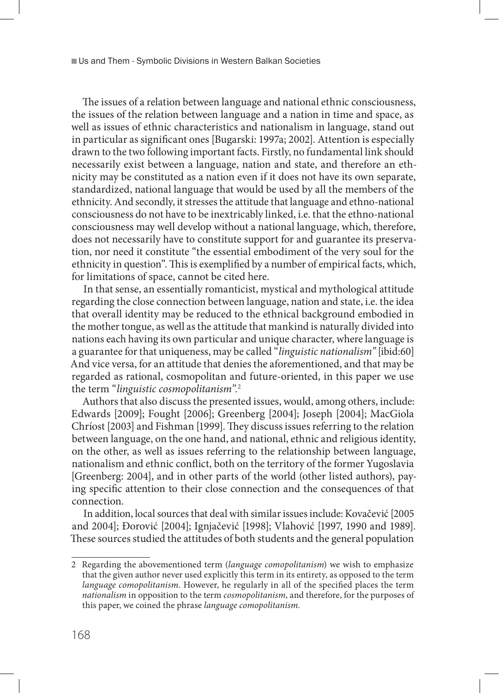The issues of a relation between language and national ethnic consciousness, the issues of the relation between language and a nation in time and space, as well as issues of ethnic characteristics and nationalism in language, stand out in particular as significant ones [Bugarski: 1997a; 2002]. Attention is especially drawn to the two following important facts. Firstly, no fundamental link should necessarily exist between a language, nation and state, and therefore an ethnicity may be constituted as a nation even if it does not have its own separate, standardized, national language that would be used by all the members of the ethnicity. And secondly, it stresses the attitude that language and ethno-national consciousness do not have to be inextricably linked, i.e. that the ethno-national consciousness may well develop without a national language, which, therefore, does not necessarily have to constitute support for and guarantee its preservation, nor need it constitute "the essential embodiment of the very soul for the ethnicity in question". This is exemplified by a number of empirical facts, which, for limitations of space, cannot be cited here.

In that sense, an essentially romanticist, mystical and mythological attitude regarding the close connection between language, nation and state, i.e. the idea that overall identity may be reduced to the ethnical background embodied in the mother tongue, as well as the attitude that mankind is naturally divided into nations each having its own particular and unique character, where language is a guarantee for that uniqueness, may be called "*linguistic nationalism"* [ibid:60] And vice versa, for an attitude that denies the aforementioned, and that may be regarded as rational, cosmopolitan and future-oriented, in this paper we use the term "*linguistic cosmopolitanism".*<sup>2</sup>

Authors that also discuss the presented issues, would, among others, include: Edwards [2009]; Fought [2006]; Greenberg [2004]; Joseph [2004]; MacGiola Chríost [2003] and Fishman [1999]. They discuss issues referring to the relation between language, on the one hand, and national, ethnic and religious identity, on the other, as well as issues referring to the relationship between language, nationalism and ethnic conflict, both on the territory of the former Yugoslavia [Greenberg: 2004], and in other parts of the world (other listed authors), paying specific attention to their close connection and the consequences of that connection.

In addition, local sources that deal with similar issues include: Kovačević [2005 and 2004]; Đorović [2004]; Ignjačević [1998]; Vlahović [1997, 1990 and 1989]. These sources studied the attitudes of both students and the general population

<sup>2</sup> Regarding the abovementioned term (*language comopolitanism*) we wish to emphasize that the given author never used explicitly this term in its entirety, as opposed to the term *language comopolitanism*. However, he regularly in all of the specified places the term *nationalism* in opposition to the term *cosmopolitanism*, and therefore, for the purposes of this paper, we coined the phrase *language comopolitanism.*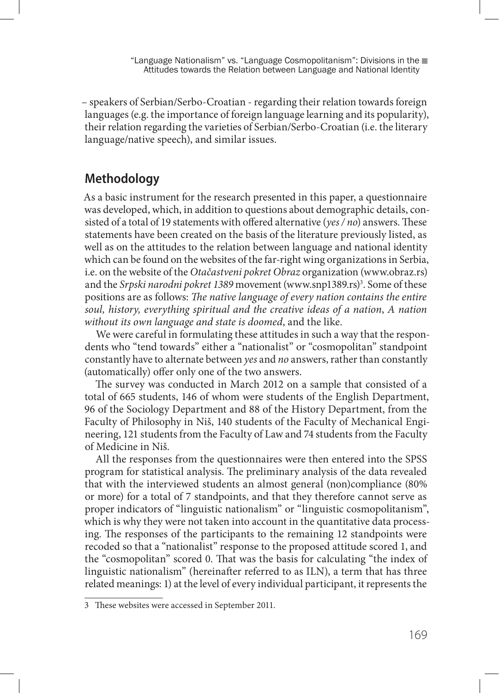– speakers of Serbian/Serbo-Croatian - regarding their relation towards foreign languages (e.g. the importance of foreign language learning and its popularity), their relation regarding the varieties of Serbian/Serbo-Croatian (i.e. the literary language/native speech), and similar issues.

### **Methodology**

As a basic instrument for the research presented in this paper, a questionnaire was developed, which, in addition to questions about demographic details, consisted of a total of 19 statements with offered alternative (*yes / no*) answers. These statements have been created on the basis of the literature previously listed, as well as on the attitudes to the relation between language and national identity which can be found on the websites of the far-right wing organizations in Serbia, i.e. on the website of the *Otačastveni pokret Obraz* organization (www.obraz.rs) and the *Srpski narodni pokret 1389* movement (www.snp1389.rs)<sup>3</sup>. Some of these positions are as follows: *The native language of every nation contains the entire soul, history, everything spiritual and the creative ideas of a nation*, *A nation without its own language and state is doomed*, and the like.

We were careful in formulating these attitudes in such a way that the respondents who "tend towards" either a "nationalist" or "cosmopolitan" standpoint constantly have to alternate between *yes* and *no* answers, rather than constantly (automatically) offer only one of the two answers.

The survey was conducted in March 2012 on a sample that consisted of a total of 665 students, 146 of whom were students of the English Department, 96 of the Sociology Department and 88 of the History Department, from the Faculty of Philosophy in Niš, 140 students of the Faculty of Mechanical Engineering, 121 students from the Faculty of Law and 74 students from the Faculty of Medicine in Niš.

All the responses from the questionnaires were then entered into the SPSS program for statistical analysis. The preliminary analysis of the data revealed that with the interviewed students an almost general (non)compliance (80% or more) for a total of 7 standpoints, and that they therefore cannot serve as proper indicators of "linguistic nationalism" or "linguistic cosmopolitanism", which is why they were not taken into account in the quantitative data processing. The responses of the participants to the remaining 12 standpoints were recoded so that a "nationalist" response to the proposed attitude scored 1, and the "cosmopolitan" scored 0. That was the basis for calculating "the index of linguistic nationalism" (hereinafter referred to as ILN), a term that has three related meanings: 1) at the level of every individual participant, it represents the

<sup>3</sup> These websites were accessed in September 2011.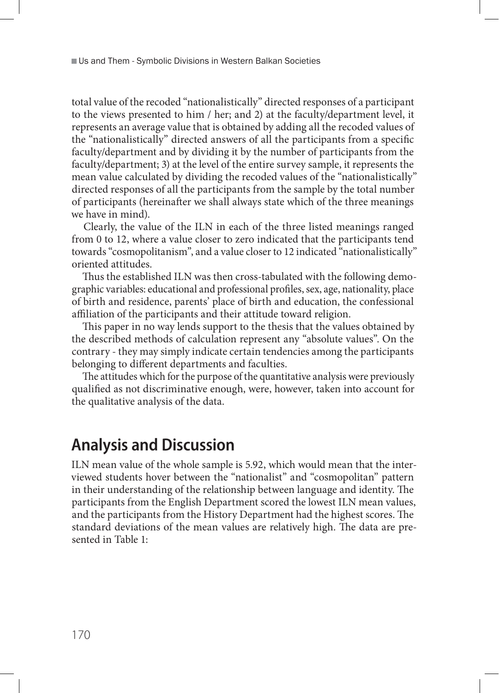total value of the recoded "nationalistically" directed responses of a participant to the views presented to him / her; and 2) at the faculty/department level, it represents an average value that is obtained by adding all the recoded values of the "nationalistically" directed answers of all the participants from a specific faculty/department and by dividing it by the number of participants from the faculty/department; 3) at the level of the entire survey sample, it represents the mean value calculated by dividing the recoded values of the "nationalistically" directed responses of all the participants from the sample by the total number of participants (hereinafter we shall always state which of the three meanings we have in mind).

Clearly, the value of the ILN in each of the three listed meanings ranged from 0 to 12, where a value closer to zero indicated that the participants tend towards "cosmopolitanism", and a value closer to 12 indicated "nationalistically" oriented attitudes.

Thus the established ILN was then cross-tabulated with the following demographic variables: educational and professional profiles, sex, age, nationality, place of birth and residence, parents' place of birth and education, the confessional affiliation of the participants and their attitude toward religion.

This paper in no way lends support to the thesis that the values obtained by the described methods of calculation represent any "absolute values". On the contrary - they may simply indicate certain tendencies among the participants belonging to different departments and faculties.

The attitudes which for the purpose of the quantitative analysis were previously qualified as not discriminative enough, were, however, taken into account for the qualitative analysis of the data.

## **Analysis and Discussion**

ILN mean value of the whole sample is 5.92, which would mean that the interviewed students hover between the "nationalist" and "cosmopolitan" pattern in their understanding of the relationship between language and identity. The participants from the English Department scored the lowest ILN mean values, and the participants from the History Department had the highest scores. The standard deviations of the mean values are relatively high. The data are presented in Table 1: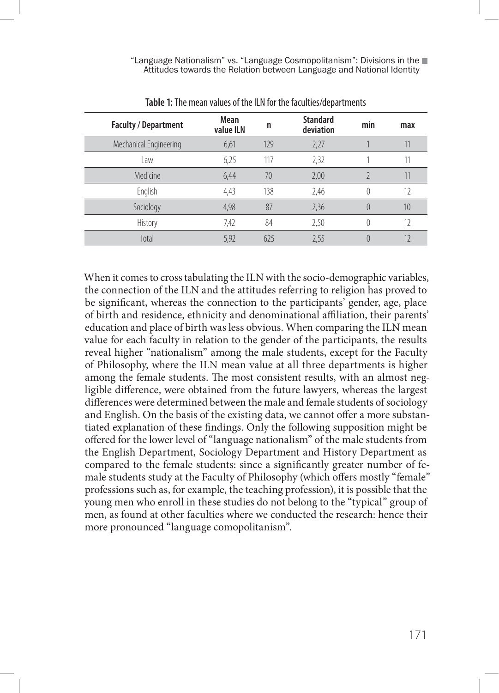| <b>Faculty / Department</b> | <b>Mean</b><br>value ILN | n   | <b>Standard</b><br>deviation | min | max |
|-----------------------------|--------------------------|-----|------------------------------|-----|-----|
| Mechanical Engineering      | 6,61                     | 129 | 2,27                         |     | 11  |
| W6                          | 6,25                     | 117 | 2,32                         |     | 11  |
| Medicine                    | 6,44                     | 70  | 2,00                         |     | 11  |
| English                     | 4,43                     | 138 | 2,46                         |     | 12  |
| Sociology                   | 4,98                     | 87  | 2,36                         |     | 10  |
| History                     | 7,42                     | 84  | 2,50                         |     | 12  |
| Total                       | 5,92                     | 625 | 2,55                         |     |     |

**Table 1:** The mean values of the ILN for the faculties/departments

When it comes to cross tabulating the ILN with the socio-demographic variables, the connection of the ILN and the attitudes referring to religion has proved to be significant, whereas the connection to the participants' gender, age, place of birth and residence, ethnicity and denominational affiliation, their parents' education and place of birth was less obvious. When comparing the ILN mean value for each faculty in relation to the gender of the participants, the results reveal higher "nationalism" among the male students, except for the Faculty of Philosophy, where the ILN mean value at all three departments is higher among the female students. The most consistent results, with an almost negligible difference, were obtained from the future lawyers, whereas the largest differences were determined between the male and female students of sociology and English. On the basis of the existing data, we cannot offer a more substantiated explanation of these findings. Only the following supposition might be offered for the lower level of "language nationalism" of the male students from the English Department, Sociology Department and History Department as compared to the female students: since a significantly greater number of female students study at the Faculty of Philosophy (which offers mostly "female" professions such as, for example, the teaching profession), it is possible that the young men who enroll in these studies do not belong to the "typical" group of men, as found at other faculties where we conducted the research: hence their more pronounced "language comopolitanism".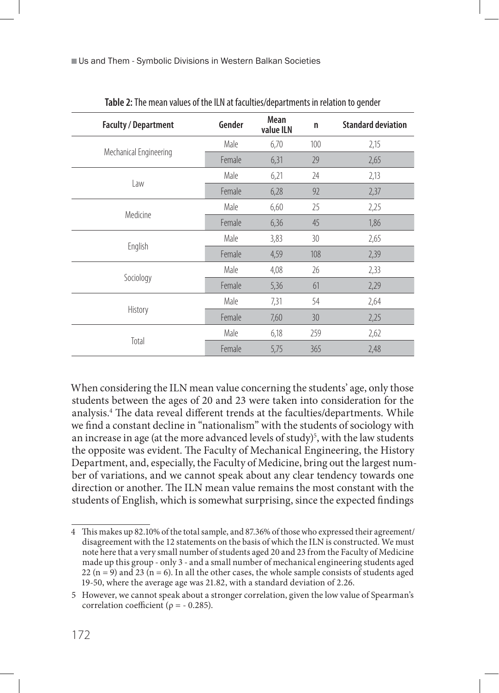|                             |        |                   |                 | ╯                         |
|-----------------------------|--------|-------------------|-----------------|---------------------------|
| <b>Faculty / Department</b> | Gender | Mean<br>value ILN | n               | <b>Standard deviation</b> |
| Mechanical Engineering      | Male   | 6,70              | 100             | 2,15                      |
|                             | Female | 6,31              | 29              | 2,65                      |
| Law                         | Male   | 6,21              | 24              | 2,13                      |
|                             | Female | 6,28              | 92              | 2,37                      |
| Medicine                    | Male   | 6,60              | 25              | 2,25                      |
|                             | Female | 6,36              | 45              | 1,86                      |
| English                     | Male   | 3,83              | 30 <sup>°</sup> | 2,65                      |
|                             | Female | 4,59              | 108             | 2,39                      |
| Sociology                   | Male   | 4,08              | 26              | 2,33                      |
|                             | Female | 5,36              | 61              | 2,29                      |
| History                     | Male   | 7,31              | 54              | 2,64                      |
|                             | Female | 7,60              | 30 <sup>°</sup> | 2,25                      |
| Total                       | Male   | 6,18              | 259             | 2,62                      |
|                             | Female | 5,75              | 365             | 2,48                      |

| Table 2: The mean values of the ILN at faculties/departments in relation to gender |  |
|------------------------------------------------------------------------------------|--|
|                                                                                    |  |

When considering the ILN mean value concerning the students' age, only those students between the ages of 20 and 23 were taken into consideration for the analysis.4 The data reveal different trends at the faculties/departments. While we find a constant decline in "nationalism" with the students of sociology with an increase in age (at the more advanced levels of study)<sup>5</sup>, with the law students the opposite was evident. The Faculty of Mechanical Engineering, the History Department, and, especially, the Faculty of Medicine, bring out the largest number of variations, and we cannot speak about any clear tendency towards one direction or another. The ILN mean value remains the most constant with the students of English, which is somewhat surprising, since the expected findings

<sup>4</sup> This makes up 82.10% of the total sample, and 87.36% of those who expressed their agreement/ disagreement with the 12 statements on the basis of which the ILN is constructed. We must note here that a very small number of students aged 20 and 23 from the Faculty of Medicine made up this group - only 3 - and a small number of mechanical engineering students aged 22 ( $n = 9$ ) and 23 ( $n = 6$ ). In all the other cases, the whole sample consists of students aged 19-50, where the average age was 21.82, with a standard deviation of 2.26.

<sup>5</sup> However, we cannot speak about a stronger correlation, given the low value of Spearman's correlation coefficient ( $\rho = -0.285$ ).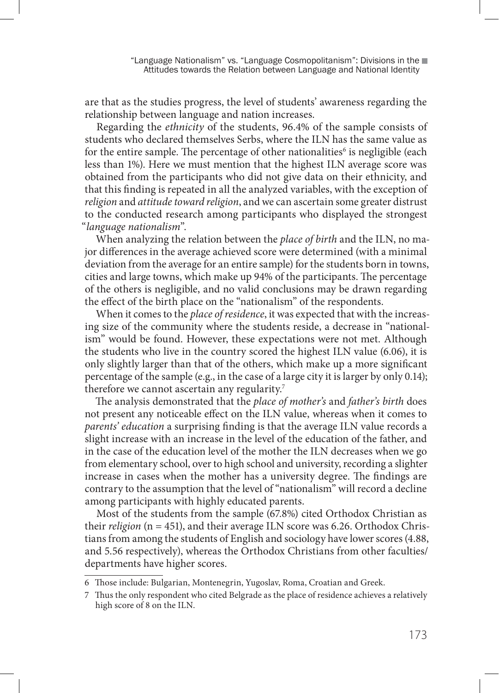are that as the studies progress, the level of students' awareness regarding the relationship between language and nation increases.

Regarding the *ethnicity* of the students, 96.4% of the sample consists of students who declared themselves Serbs, where the ILN has the same value as for the entire sample. The percentage of other nationalities<sup>6</sup> is negligible (each less than 1%). Here we must mention that the highest ILN average score was obtained from the participants who did not give data on their ethnicity, and that this finding is repeated in all the analyzed variables, with the exception of *religion* and *attitude toward religion*, and we can ascertain some greater distrust to the conducted research among participants who displayed the strongest "*language nationalism*".

When analyzing the relation between the *place of birth* and the ILN, no major differences in the average achieved score were determined (with a minimal deviation from the average for an entire sample) for the students born in towns, cities and large towns, which make up 94% of the participants. The percentage of the others is negligible, and no valid conclusions may be drawn regarding the effect of the birth place on the "nationalism" of the respondents.

When it comes to the *place of residence*, it was expected that with the increasing size of the community where the students reside, a decrease in "nationalism" would be found. However, these expectations were not met. Although the students who live in the country scored the highest ILN value (6.06), it is only slightly larger than that of the others, which make up a more significant percentage of the sample (e.g., in the case of a large city it is larger by only 0.14); therefore we cannot ascertain any regularity.<sup>7</sup>

The analysis demonstrated that the *place of mother's* and *father's birth* does not present any noticeable effect on the ILN value, whereas when it comes to *parents' education* a surprising finding is that the average ILN value records a slight increase with an increase in the level of the education of the father, and in the case of the education level of the mother the ILN decreases when we go from elementary school, over to high school and university, recording a slighter increase in cases when the mother has a university degree. The findings are contrary to the assumption that the level of "nationalism" will record a decline among participants with highly educated parents.

Most of the students from the sample (67.8%) cited Orthodox Christian as their *religion* (n = 451), and their average ILN score was 6.26. Orthodox Christians from among the students of English and sociology have lower scores (4.88, and 5.56 respectively), whereas the Orthodox Christians from other faculties/ departments have higher scores.

<sup>6</sup> Those include: Bulgarian, Montenegrin, Yugoslav, Roma, Croatian and Greek.

<sup>7</sup> Thus the only respondent who cited Belgrade as the place of residence achieves a relatively high score of 8 on the ILN.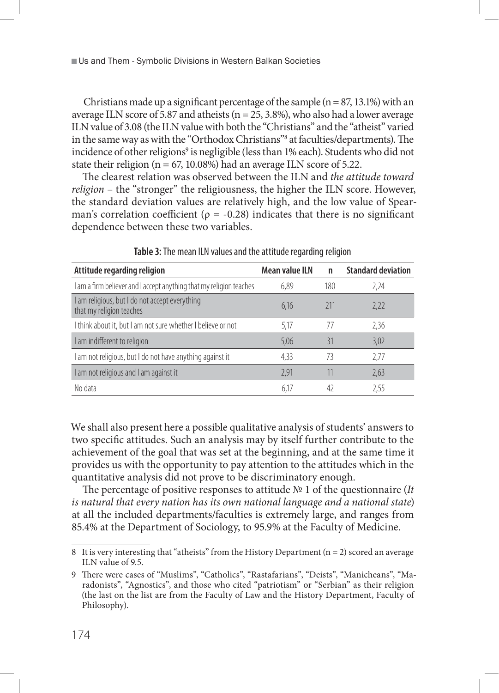Christians made up a significant percentage of the sample  $(n = 87, 13.1%)$  with an average ILN score of 5.87 and atheists ( $n = 25, 3.8\%$ ), who also had a lower average ILN value of 3.08 (the ILN value with both the "Christians" and the "atheist" varied in the same way as with the "Orthodox Christians"8 at faculties/departments). The incidence of other religions<sup>9</sup> is negligible (less than 1% each). Students who did not state their religion ( $n = 67, 10.08\%$ ) had an average ILN score of 5.22.

The clearest relation was observed between the ILN and *the attitude toward religion* – the "stronger" the religiousness, the higher the ILN score. However, the standard deviation values are relatively high, and the low value of Spearman's correlation coefficient ( $\rho = -0.28$ ) indicates that there is no significant dependence between these two variables.

| Attitude regarding religion                                                | <b>Mean value ILN</b> | $\mathsf{n}$  | <b>Standard deviation</b> |
|----------------------------------------------------------------------------|-----------------------|---------------|---------------------------|
| I am a firm believer and I accept anything that my religion teaches        | 6,89                  | 180           | 2,24                      |
| I am religious, but I do not accept everything<br>that my religion teaches | 6,16                  | 211           | 2,22                      |
| I think about it, but I am not sure whether I believe or not               | 5,17                  | $\frac{1}{2}$ | 2,36                      |
| I am indifferent to religion                                               | 5,06                  | 31            | 3,02                      |
| I am not religious, but I do not have anything against it                  | 4,33                  | 73            | 2,77                      |
| I am not religious and I am against it                                     | 2,91                  | 11            | 2,63                      |
| No data                                                                    | 6,17                  | 42            | 2.55                      |

**Table 3:** The mean ILN values and the attitude regarding religion

We shall also present here a possible qualitative analysis of students' answers to two specific attitudes. Such an analysis may by itself further contribute to the achievement of the goal that was set at the beginning, and at the same time it provides us with the opportunity to pay attention to the attitudes which in the quantitative analysis did not prove to be discriminatory enough.

The percentage of positive responses to attitude № 1 of the questionnaire (*It is natural that every nation has its own national language and a national state*) at all the included departments/faculties is extremely large, and ranges from 85.4% at the Department of Sociology, to 95.9% at the Faculty of Medicine.

<sup>8</sup> It is very interesting that "atheists" from the History Department ( $n = 2$ ) scored an average ILN value of 9.5.

<sup>9</sup> There were cases of "Muslims", "Catholics", "Rastafarians", "Deists", "Manicheans", "Maradonists", "Agnostics", and those who cited "patriotism" or "Serbian" as their religion (the last on the list are from the Faculty of Law and the History Department, Faculty of Philosophy).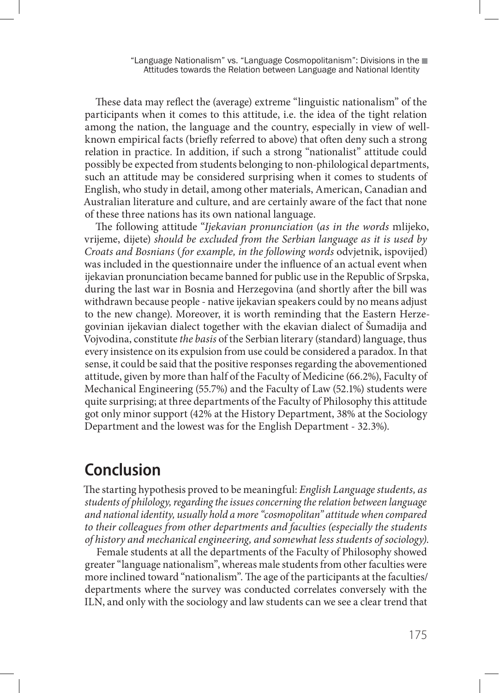These data may reflect the (average) extreme "linguistic nationalism" of the participants when it comes to this attitude, i.e. the idea of the tight relation among the nation, the language and the country, especially in view of wellknown empirical facts (briefly referred to above) that often deny such a strong relation in practice. In addition, if such a strong "nationalist" attitude could possibly be expected from students belonging to non-philological departments, such an attitude may be considered surprising when it comes to students of English, who study in detail, among other materials, American, Canadian and Australian literature and culture, and are certainly aware of the fact that none of these three nations has its own national language.

The following attitude "*Ijekavian pronunciation* (*as in the words* mlijeko, vrijeme, dijete) *should be excluded from the Serbian language as it is used by Croats and Bosnians* (*for example, in the following words* odvjetnik, ispovijed) was included in the questionnaire under the influence of an actual event when ijekavian pronunciation became banned for public use in the Republic of Srpska, during the last war in Bosnia and Herzegovina (and shortly after the bill was withdrawn because people - native ijekavian speakers could by no means adjust to the new change). Moreover, it is worth reminding that the Eastern Herzegovinian ijekavian dialect together with the ekavian dialect of Šumadija and Vojvodina, constitute *the basis* of the Serbian literary (standard) language, thus every insistence on its expulsion from use could be considered a paradox. In that sense, it could be said that the positive responses regarding the abovementioned attitude, given by more than half of the Faculty of Medicine (66.2%), Faculty of Mechanical Engineering (55.7%) and the Faculty of Law (52.1%) students were quite surprising; at three departments of the Faculty of Philosophy this attitude got only minor support (42% at the History Department, 38% at the Sociology Department and the lowest was for the English Department - 32.3%).

## **Conclusion**

The starting hypothesis proved to be meaningful: *English Language students, as students of philology, regarding the issues concerning the relation between language and national identity, usually hold a more "cosmopolitan" attitude when compared to their colleagues from other departments and faculties (especially the students of history and mechanical engineering, and somewhat less students of sociology)*.

Female students at all the departments of the Faculty of Philosophy showed greater "language nationalism", whereas male students from other faculties were more inclined toward "nationalism". The age of the participants at the faculties/ departments where the survey was conducted correlates conversely with the ILN, and only with the sociology and law students can we see a clear trend that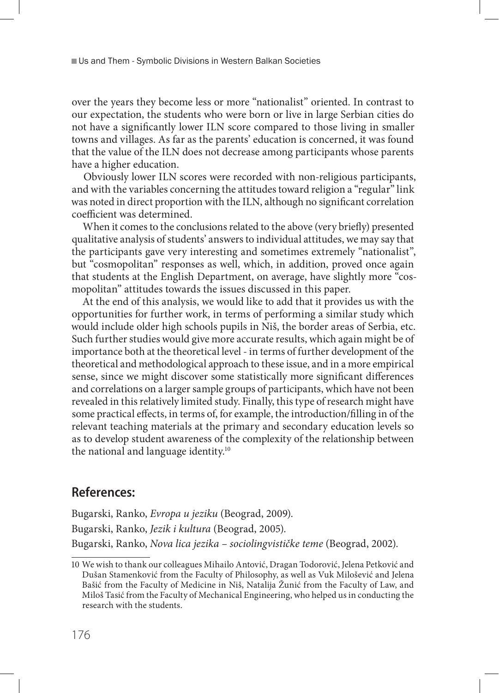over the years they become less or more "nationalist" oriented. In contrast to our expectation, the students who were born or live in large Serbian cities do not have a significantly lower ILN score compared to those living in smaller towns and villages. As far as the parents' education is concerned, it was found that the value of the ILN does not decrease among participants whose parents have a higher education.

Obviously lower ILN scores were recorded with non-religious participants, and with the variables concerning the attitudes toward religion a "regular" link was noted in direct proportion with the ILN, although no significant correlation coefficient was determined.

When it comes to the conclusions related to the above (very briefly) presented qualitative analysis of students' answers to individual attitudes, we may say that the participants gave very interesting and sometimes extremely "nationalist", but "cosmopolitan" responses as well, which, in addition, proved once again that students at the English Department, on average, have slightly more "cosmopolitan" attitudes towards the issues discussed in this paper.

At the end of this analysis, we would like to add that it provides us with the opportunities for further work, in terms of performing a similar study which would include older high schools pupils in Niš, the border areas of Serbia, etc. Such further studies would give more accurate results, which again might be of importance both at the theoretical level - in terms of further development of the theoretical and methodological approach to these issue, and in a more empirical sense, since we might discover some statistically more significant differences and correlations on a larger sample groups of participants, which have not been revealed in this relatively limited study. Finally, this type of research might have some practical effects, in terms of, for example, the introduction/filling in of the relevant teaching materials at the primary and secondary education levels so as to develop student awareness of the complexity of the relationship between the national and language identity.10

#### **References:**

Bugarski, Ranko, *Evropa u jeziku* (Beograd, 2009). Bugarski, Ranko, *Jezik i kultura* (Beograd, 2005). Bugarski, Ranko, *Nova lica jezika – sociolingvističke teme* (Beograd, 2002).

<sup>10</sup> We wish to thank our colleagues Mihailo Antović, Dragan Todorović, Jelena Petković and Dušan Stamenković from the Faculty of Philosophy, as well as Vuk Milošević and Jelena Bašić from the Faculty of Medicine in Niš, Natalija Žunić from the Faculty of Law, and Miloš Tasić from the Faculty of Mechanical Engineering, who helped us in conducting the research with the students.